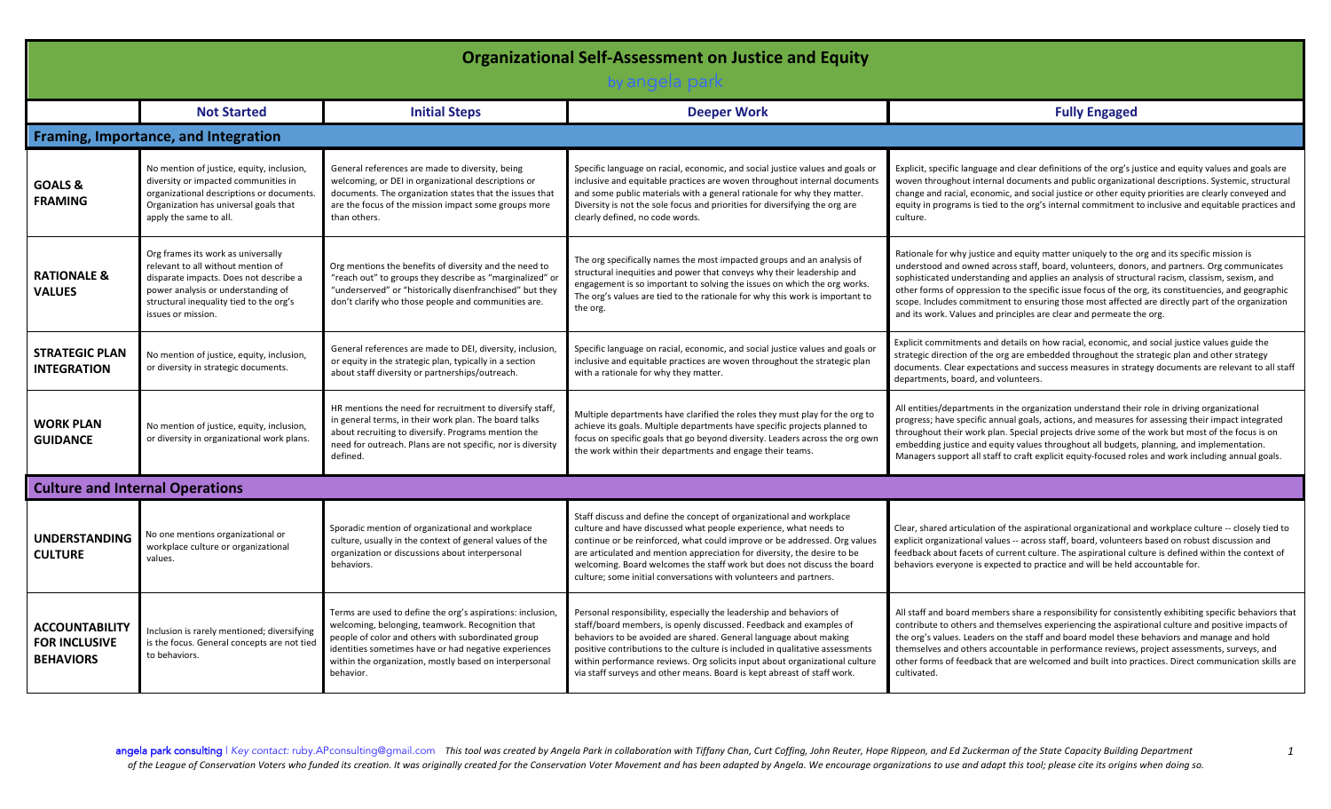| <b>Organizational Self-Assessment on Justice and Equity</b>       |                                                                                                                                                                                                                           |                                                                                                                                                                                                                                                                                                     |                                                                                                                                                                                                                                                                                                                                                                                                                                                          |                                                                                                                                                                                                                                                                                                                                                                                                                                                                                                                                                                                   |  |
|-------------------------------------------------------------------|---------------------------------------------------------------------------------------------------------------------------------------------------------------------------------------------------------------------------|-----------------------------------------------------------------------------------------------------------------------------------------------------------------------------------------------------------------------------------------------------------------------------------------------------|----------------------------------------------------------------------------------------------------------------------------------------------------------------------------------------------------------------------------------------------------------------------------------------------------------------------------------------------------------------------------------------------------------------------------------------------------------|-----------------------------------------------------------------------------------------------------------------------------------------------------------------------------------------------------------------------------------------------------------------------------------------------------------------------------------------------------------------------------------------------------------------------------------------------------------------------------------------------------------------------------------------------------------------------------------|--|
|                                                                   | <b>Not Started</b>                                                                                                                                                                                                        | <b>Initial Steps</b>                                                                                                                                                                                                                                                                                | <b>Deeper Work</b>                                                                                                                                                                                                                                                                                                                                                                                                                                       | <b>Fully Engaged</b>                                                                                                                                                                                                                                                                                                                                                                                                                                                                                                                                                              |  |
|                                                                   | Framing, Importance, and Integration                                                                                                                                                                                      |                                                                                                                                                                                                                                                                                                     |                                                                                                                                                                                                                                                                                                                                                                                                                                                          |                                                                                                                                                                                                                                                                                                                                                                                                                                                                                                                                                                                   |  |
| <b>GOALS &amp;</b><br><b>FRAMING</b>                              | No mention of justice, equity, inclusion,<br>diversity or impacted communities in<br>organizational descriptions or documents<br>Organization has universal goals that<br>apply the same to all.                          | General references are made to diversity, being<br>welcoming, or DEI in organizational descriptions or<br>documents. The organization states that the issues that<br>are the focus of the mission impact some groups more<br>than others.                                                           | Specific language on racial, economic, and social justice values and goals or<br>inclusive and equitable practices are woven throughout internal documents<br>and some public materials with a general rationale for why they matter.<br>Diversity is not the sole focus and priorities for diversifying the org are<br>clearly defined, no code words.                                                                                                  | Explicit, specific language and clear definitions of the org's justice and equity values and goals are<br>woven throughout internal documents and public organizational descriptions. Systemic, structural<br>change and racial, economic, and social justice or other equity priorities are clearly conveyed and<br>equity in programs is tied to the org's internal commitment to inclusive and equitable practices and<br>culture.                                                                                                                                             |  |
| <b>RATIONALE &amp;</b><br><b>VALUES</b>                           | Org frames its work as universally<br>relevant to all without mention of<br>disparate impacts. Does not describe a<br>power analysis or understanding of<br>structural inequality tied to the org's<br>issues or mission. | Org mentions the benefits of diversity and the need to<br>"reach out" to groups they describe as "marginalized" or<br>"underserved" or "historically disenfranchised" but they<br>don't clarify who those people and communities are.                                                               | The org specifically names the most impacted groups and an analysis of<br>structural inequities and power that conveys why their leadership and<br>engagement is so important to solving the issues on which the org works.<br>The org's values are tied to the rationale for why this work is important to<br>the org.                                                                                                                                  | Rationale for why justice and equity matter uniquely to the org and its specific mission is<br>understood and owned across staff, board, volunteers, donors, and partners. Org communicates<br>sophisticated understanding and applies an analysis of structural racism, classism, sexism, and<br>other forms of oppression to the specific issue focus of the org, its constituencies, and geographic<br>scope. Includes commitment to ensuring those most affected are directly part of the organization<br>and its work. Values and principles are clear and permeate the org. |  |
| <b>STRATEGIC PLAN</b><br><b>INTEGRATION</b>                       | No mention of justice, equity, inclusion,<br>or diversity in strategic documents.                                                                                                                                         | General references are made to DEI, diversity, inclusion,<br>or equity in the strategic plan, typically in a section<br>about staff diversity or partnerships/outreach.                                                                                                                             | Specific language on racial, economic, and social justice values and goals or<br>inclusive and equitable practices are woven throughout the strategic plan<br>with a rationale for why they matter.                                                                                                                                                                                                                                                      | Explicit commitments and details on how racial, economic, and social justice values guide the<br>strategic direction of the org are embedded throughout the strategic plan and other strategy<br>documents. Clear expectations and success measures in strategy documents are relevant to all staff<br>departments, board, and volunteers.                                                                                                                                                                                                                                        |  |
| <b>WORK PLAN</b><br><b>GUIDANCE</b>                               | No mention of justice, equity, inclusion,<br>or diversity in organizational work plans.                                                                                                                                   | HR mentions the need for recruitment to diversify staff,<br>in general terms, in their work plan. The board talks<br>about recruiting to diversify. Programs mention the<br>need for outreach. Plans are not specific, nor is diversity<br>defined.                                                 | Multiple departments have clarified the roles they must play for the org to<br>achieve its goals. Multiple departments have specific projects planned to<br>focus on specific goals that go beyond diversity. Leaders across the org own<br>the work within their departments and engage their teams.                                                                                                                                                    | All entities/departments in the organization understand their role in driving organizational<br>progress; have specific annual goals, actions, and measures for assessing their impact integrated<br>throughout their work plan. Special projects drive some of the work but most of the focus is on<br>embedding justice and equity values throughout all budgets, planning, and implementation.<br>Managers support all staff to craft explicit equity-focused roles and work including annual goals.                                                                           |  |
|                                                                   | <b>Culture and Internal Operations</b>                                                                                                                                                                                    |                                                                                                                                                                                                                                                                                                     |                                                                                                                                                                                                                                                                                                                                                                                                                                                          |                                                                                                                                                                                                                                                                                                                                                                                                                                                                                                                                                                                   |  |
| <b>UNDERSTANDING</b><br><b>CULTURE</b>                            | No one mentions organizational or<br>workplace culture or organizational<br>values.                                                                                                                                       | Sporadic mention of organizational and workplace<br>culture, usually in the context of general values of the<br>organization or discussions about interpersonal<br>behaviors.                                                                                                                       | Staff discuss and define the concept of organizational and workplace<br>culture and have discussed what people experience, what needs to<br>continue or be reinforced, what could improve or be addressed. Org values<br>are articulated and mention appreciation for diversity, the desire to be<br>welcoming. Board welcomes the staff work but does not discuss the board<br>culture; some initial conversations with volunteers and partners.        | Clear, shared articulation of the aspirational organizational and workplace culture -- closely tied to<br>explicit organizational values -- across staff, board, volunteers based on robust discussion and<br>feedback about facets of current culture. The aspirational culture is defined within the context of<br>behaviors everyone is expected to practice and will be held accountable for.                                                                                                                                                                                 |  |
| <b>ACCOUNTABILITY</b><br><b>FOR INCLUSIVE</b><br><b>BEHAVIORS</b> | Inclusion is rarely mentioned; diversifying<br>is the focus. General concepts are not tied<br>to behaviors.                                                                                                               | Terms are used to define the org's aspirations: inclusion<br>welcoming, belonging, teamwork. Recognition that<br>people of color and others with subordinated group<br>identities sometimes have or had negative experiences<br>within the organization, mostly based on interpersonal<br>behavior. | Personal responsibility, especially the leadership and behaviors of<br>staff/board members, is openly discussed. Feedback and examples of<br>behaviors to be avoided are shared. General language about making<br>positive contributions to the culture is included in qualitative assessments<br>within performance reviews. Org solicits input about organizational culture<br>via staff surveys and other means. Board is kept abreast of staff work. | All staff and board members share a responsibility for consistently exhibiting specific behaviors that<br>contribute to others and themselves experiencing the aspirational culture and positive impacts of<br>the org's values. Leaders on the staff and board model these behaviors and manage and hold<br>themselves and others accountable in performance reviews, project assessments, surveys, and<br>other forms of feedback that are welcomed and built into practices. Direct communication skills are<br>cultivated.                                                    |  |

angela park consulting | Key contact: ruby.APconsulting@gmail.com This tool was created by Angela Park in collaboration with Tiffany Chan, Curt Coffing, John Reuter, Hope Rippeon, and Ed Zuckerman of the State Capacity Bui of the League of Conservation Voters who funded its creation. It was originally created for the Conservation Voter Movement and has been adapted by Angela. We encourage organizations to use and adapt this tool; please cite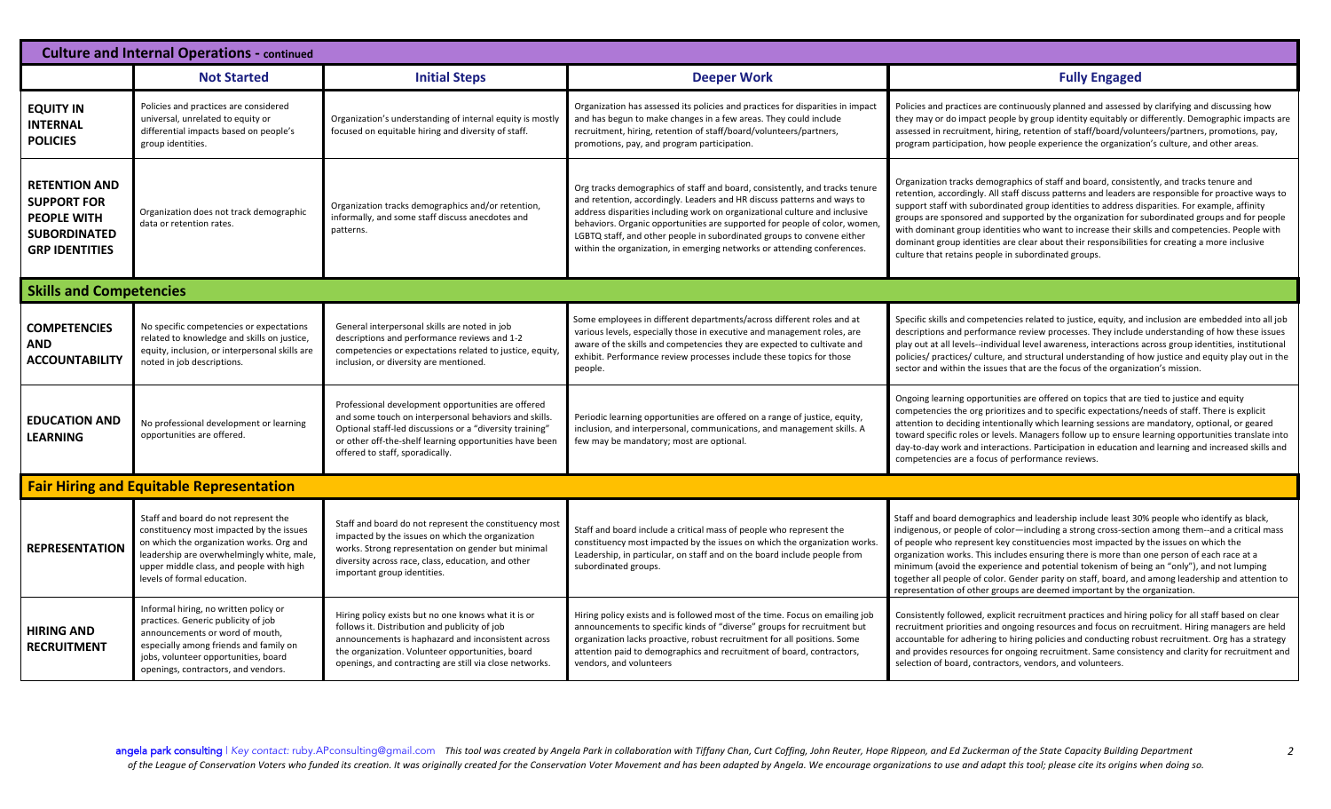| <b>Culture and Internal Operations - continued</b>                                                               |                                                                                                                                                                                                                                                       |                                                                                                                                                                                                                                                                           |                                                                                                                                                                                                                                                                                                                                                                                                                                                                        |                                                                                                                                                                                                                                                                                                                                                                                                                                                                                                                                                                                                                                                                    |  |  |
|------------------------------------------------------------------------------------------------------------------|-------------------------------------------------------------------------------------------------------------------------------------------------------------------------------------------------------------------------------------------------------|---------------------------------------------------------------------------------------------------------------------------------------------------------------------------------------------------------------------------------------------------------------------------|------------------------------------------------------------------------------------------------------------------------------------------------------------------------------------------------------------------------------------------------------------------------------------------------------------------------------------------------------------------------------------------------------------------------------------------------------------------------|--------------------------------------------------------------------------------------------------------------------------------------------------------------------------------------------------------------------------------------------------------------------------------------------------------------------------------------------------------------------------------------------------------------------------------------------------------------------------------------------------------------------------------------------------------------------------------------------------------------------------------------------------------------------|--|--|
|                                                                                                                  | <b>Not Started</b>                                                                                                                                                                                                                                    | <b>Initial Steps</b>                                                                                                                                                                                                                                                      | <b>Deeper Work</b>                                                                                                                                                                                                                                                                                                                                                                                                                                                     | <b>Fully Engaged</b>                                                                                                                                                                                                                                                                                                                                                                                                                                                                                                                                                                                                                                               |  |  |
| <b>EQUITY IN</b><br><b>INTERNAL</b><br><b>POLICIES</b>                                                           | Policies and practices are considered<br>universal, unrelated to equity or<br>differential impacts based on people's<br>group identities.                                                                                                             | Organization's understanding of internal equity is mostly<br>focused on equitable hiring and diversity of staff.                                                                                                                                                          | Organization has assessed its policies and practices for disparities in impact<br>and has begun to make changes in a few areas. They could include<br>recruitment, hiring, retention of staff/board/volunteers/partners,<br>promotions, pay, and program participation.                                                                                                                                                                                                | Policies and practices are continuously planned and assessed by clarifying and discussing how<br>they may or do impact people by group identity equitably or differently. Demographic impacts are<br>assessed in recruitment, hiring, retention of staff/board/volunteers/partners, promotions, pay,<br>program participation, how people experience the organization's culture, and other areas.                                                                                                                                                                                                                                                                  |  |  |
| <b>RETENTION AND</b><br><b>SUPPORT FOR</b><br><b>PEOPLE WITH</b><br><b>SUBORDINATED</b><br><b>GRP IDENTITIES</b> | Organization does not track demographic<br>data or retention rates.                                                                                                                                                                                   | Organization tracks demographics and/or retention,<br>informally, and some staff discuss anecdotes and<br>patterns.                                                                                                                                                       | Org tracks demographics of staff and board, consistently, and tracks tenure<br>and retention, accordingly. Leaders and HR discuss patterns and ways to<br>address disparities including work on organizational culture and inclusive<br>behaviors. Organic opportunities are supported for people of color, women<br>LGBTQ staff, and other people in subordinated groups to convene either<br>within the organization, in emerging networks or attending conferences. | Organization tracks demographics of staff and board, consistently, and tracks tenure and<br>retention, accordingly. All staff discuss patterns and leaders are responsible for proactive ways to<br>support staff with subordinated group identities to address disparities. For example, affinity<br>groups are sponsored and supported by the organization for subordinated groups and for people<br>with dominant group identities who want to increase their skills and competencies. People with<br>dominant group identities are clear about their responsibilities for creating a more inclusive<br>culture that retains people in subordinated groups.     |  |  |
|                                                                                                                  | <b>Skills and Competencies</b>                                                                                                                                                                                                                        |                                                                                                                                                                                                                                                                           |                                                                                                                                                                                                                                                                                                                                                                                                                                                                        |                                                                                                                                                                                                                                                                                                                                                                                                                                                                                                                                                                                                                                                                    |  |  |
| <b>COMPETENCIES</b><br><b>AND</b><br><b>ACCOUNTABILITY</b>                                                       | No specific competencies or expectations<br>related to knowledge and skills on justice,<br>equity, inclusion, or interpersonal skills are<br>noted in job descriptions.                                                                               | General interpersonal skills are noted in job<br>descriptions and performance reviews and 1-2<br>competencies or expectations related to justice, equity<br>inclusion, or diversity are mentioned.                                                                        | Some employees in different departments/across different roles and at<br>various levels, especially those in executive and management roles, are<br>aware of the skills and competencies they are expected to cultivate and<br>exhibit. Performance review processes include these topics for those<br>people.                                                                                                                                                         | Specific skills and competencies related to justice, equity, and inclusion are embedded into all job<br>descriptions and performance review processes. They include understanding of how these issues<br>play out at all levels--individual level awareness, interactions across group identities, institutional<br>policies/ practices/ culture, and structural understanding of how justice and equity play out in the<br>sector and within the issues that are the focus of the organization's mission.                                                                                                                                                         |  |  |
| <b>EDUCATION AND</b><br><b>LEARNING</b>                                                                          | No professional development or learning<br>opportunities are offered.                                                                                                                                                                                 | Professional development opportunities are offered<br>and some touch on interpersonal behaviors and skills.<br>Optional staff-led discussions or a "diversity training"<br>or other off-the-shelf learning opportunities have been<br>offered to staff, sporadically.     | Periodic learning opportunities are offered on a range of justice, equity,<br>inclusion, and interpersonal, communications, and management skills. A<br>few may be mandatory; most are optional.                                                                                                                                                                                                                                                                       | Ongoing learning opportunities are offered on topics that are tied to justice and equity<br>competencies the org prioritizes and to specific expectations/needs of staff. There is explicit<br>attention to deciding intentionally which learning sessions are mandatory, optional, or geared<br>toward specific roles or levels. Managers follow up to ensure learning opportunities translate into<br>day-to-day work and interactions. Participation in education and learning and increased skills and<br>competencies are a focus of performance reviews.                                                                                                     |  |  |
| <b>Fair Hiring and Equitable Representation</b>                                                                  |                                                                                                                                                                                                                                                       |                                                                                                                                                                                                                                                                           |                                                                                                                                                                                                                                                                                                                                                                                                                                                                        |                                                                                                                                                                                                                                                                                                                                                                                                                                                                                                                                                                                                                                                                    |  |  |
| <b>REPRESENTATION</b>                                                                                            | Staff and board do not represent the<br>constituency most impacted by the issues<br>on which the organization works. Org and<br>leadership are overwhelmingly white, male,<br>upper middle class, and people with high<br>levels of formal education. | Staff and board do not represent the constituency most<br>impacted by the issues on which the organization<br>works. Strong representation on gender but minimal<br>diversity across race, class, education, and other<br>important group identities.                     | Staff and board include a critical mass of people who represent the<br>constituency most impacted by the issues on which the organization works.<br>Leadership, in particular, on staff and on the board include people from<br>subordinated groups.                                                                                                                                                                                                                   | Staff and board demographics and leadership include least 30% people who identify as black,<br>indigenous, or people of color—including a strong cross-section among them--and a critical mass<br>of people who represent key constituencies most impacted by the issues on which the<br>organization works. This includes ensuring there is more than one person of each race at a<br>minimum (avoid the experience and potential tokenism of being an "only"), and not lumping<br>together all people of color. Gender parity on staff, board, and among leadership and attention to<br>representation of other groups are deemed important by the organization. |  |  |
| <b>HIRING AND</b><br><b>RECRUITMENT</b>                                                                          | Informal hiring, no written policy or<br>practices. Generic publicity of job<br>announcements or word of mouth,<br>especially among friends and family on<br>jobs, volunteer opportunities, board<br>openings, contractors, and vendors.              | Hiring policy exists but no one knows what it is or<br>follows it. Distribution and publicity of job<br>announcements is haphazard and inconsistent across<br>the organization. Volunteer opportunities, board<br>openings, and contracting are still via close networks. | Hiring policy exists and is followed most of the time. Focus on emailing job<br>announcements to specific kinds of "diverse" groups for recruitment but<br>organization lacks proactive, robust recruitment for all positions. Some<br>attention paid to demographics and recruitment of board, contractors,<br>vendors, and volunteers                                                                                                                                | Consistently followed, explicit recruitment practices and hiring policy for all staff based on clear<br>recruitment priorities and ongoing resources and focus on recruitment. Hiring managers are held<br>accountable for adhering to hiring policies and conducting robust recruitment. Org has a strategy<br>and provides resources for ongoing recruitment. Same consistency and clarity for recruitment and<br>selection of board, contractors, vendors, and volunteers.                                                                                                                                                                                      |  |  |

angela park consulting | Key contact: ruby.APconsulting@gmail.com This tool was created by Angela Park in collaboration with Tiffany Chan, Curt Coffing, John Reuter, Hope Rippeon, and Ed Zuckerman of the State Capacity Bui of the League of Conservation Voters who funded its creation. It was originally created for the Conservation Voter Movement and has been adapted by Angela. We encourage organizations to use and adapt this tool; please cite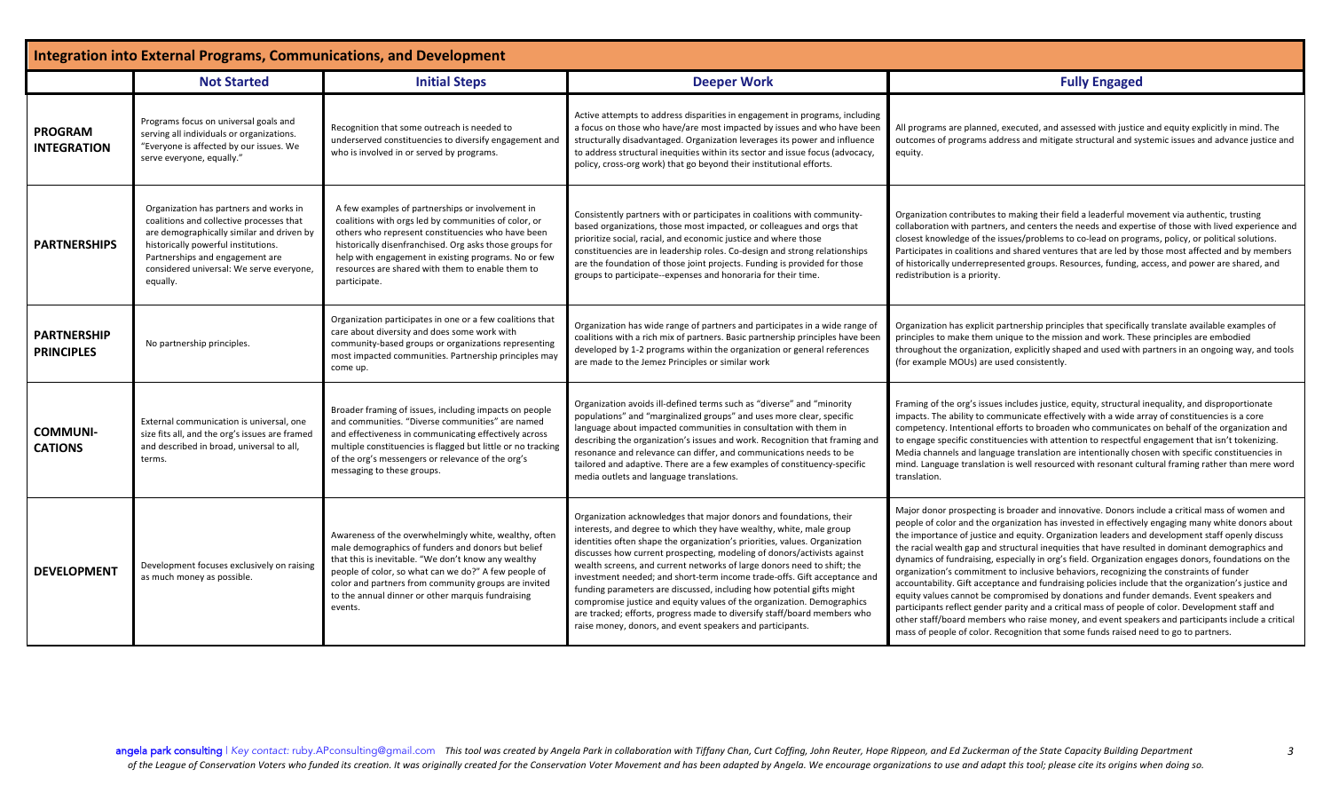| Integration into External Programs, Communications, and Development |                                                                                                                                                                                                                                                                   |                                                                                                                                                                                                                                                                                                                                                      |                                                                                                                                                                                                                                                                                                                                                                                                                                                                                                                                                                                                                                                                                                                                                       |                                                                                                                                                                                                                                                                                                                                                                                                                                                                                                                                                                                                                                                                                                                                                                                                                                                                                                                                                                                                                                                                                                                |  |
|---------------------------------------------------------------------|-------------------------------------------------------------------------------------------------------------------------------------------------------------------------------------------------------------------------------------------------------------------|------------------------------------------------------------------------------------------------------------------------------------------------------------------------------------------------------------------------------------------------------------------------------------------------------------------------------------------------------|-------------------------------------------------------------------------------------------------------------------------------------------------------------------------------------------------------------------------------------------------------------------------------------------------------------------------------------------------------------------------------------------------------------------------------------------------------------------------------------------------------------------------------------------------------------------------------------------------------------------------------------------------------------------------------------------------------------------------------------------------------|----------------------------------------------------------------------------------------------------------------------------------------------------------------------------------------------------------------------------------------------------------------------------------------------------------------------------------------------------------------------------------------------------------------------------------------------------------------------------------------------------------------------------------------------------------------------------------------------------------------------------------------------------------------------------------------------------------------------------------------------------------------------------------------------------------------------------------------------------------------------------------------------------------------------------------------------------------------------------------------------------------------------------------------------------------------------------------------------------------------|--|
|                                                                     | <b>Not Started</b>                                                                                                                                                                                                                                                | <b>Initial Steps</b>                                                                                                                                                                                                                                                                                                                                 | <b>Deeper Work</b>                                                                                                                                                                                                                                                                                                                                                                                                                                                                                                                                                                                                                                                                                                                                    | <b>Fully Engaged</b>                                                                                                                                                                                                                                                                                                                                                                                                                                                                                                                                                                                                                                                                                                                                                                                                                                                                                                                                                                                                                                                                                           |  |
| <b>PROGRAM</b><br><b>INTEGRATION</b>                                | Programs focus on universal goals and<br>serving all individuals or organizations.<br>"Everyone is affected by our issues. We<br>serve everyone, equally."                                                                                                        | Recognition that some outreach is needed to<br>underserved constituencies to diversify engagement and<br>who is involved in or served by programs.                                                                                                                                                                                                   | Active attempts to address disparities in engagement in programs, including<br>a focus on those who have/are most impacted by issues and who have been<br>structurally disadvantaged. Organization leverages its power and influence<br>to address structural inequities within its sector and issue focus (advocacy,<br>policy, cross-org work) that go beyond their institutional efforts.                                                                                                                                                                                                                                                                                                                                                          | All programs are planned, executed, and assessed with justice and equity explicitly in mind. The<br>outcomes of programs address and mitigate structural and systemic issues and advance justice and<br>equity.                                                                                                                                                                                                                                                                                                                                                                                                                                                                                                                                                                                                                                                                                                                                                                                                                                                                                                |  |
| <b>PARTNERSHIPS</b>                                                 | Organization has partners and works in<br>coalitions and collective processes that<br>are demographically similar and driven by<br>historically powerful institutions.<br>Partnerships and engagement are<br>considered universal: We serve everyone,<br>equally. | A few examples of partnerships or involvement in<br>coalitions with orgs led by communities of color, or<br>others who represent constituencies who have been<br>historically disenfranchised. Org asks those groups for<br>help with engagement in existing programs. No or few<br>resources are shared with them to enable them to<br>participate. | Consistently partners with or participates in coalitions with community-<br>based organizations, those most impacted, or colleagues and orgs that<br>prioritize social, racial, and economic justice and where those<br>constituencies are in leadership roles. Co-design and strong relationships<br>are the foundation of those joint projects. Funding is provided for those<br>groups to participate--expenses and honoraria for their time.                                                                                                                                                                                                                                                                                                      | Organization contributes to making their field a leaderful movement via authentic, trusting<br>collaboration with partners, and centers the needs and expertise of those with lived experience and<br>closest knowledge of the issues/problems to co-lead on programs, policy, or political solutions.<br>Participates in coalitions and shared ventures that are led by those most affected and by members<br>of historically underrepresented groups. Resources, funding, access, and power are shared, and<br>redistribution is a priority.                                                                                                                                                                                                                                                                                                                                                                                                                                                                                                                                                                 |  |
| <b>PARTNERSHIP</b><br><b>PRINCIPLES</b>                             | No partnership principles.                                                                                                                                                                                                                                        | Organization participates in one or a few coalitions that<br>care about diversity and does some work with<br>community-based groups or organizations representing<br>most impacted communities. Partnership principles may<br>come up.                                                                                                               | Organization has wide range of partners and participates in a wide range of<br>coalitions with a rich mix of partners. Basic partnership principles have been<br>developed by 1-2 programs within the organization or general references<br>are made to the Jemez Principles or similar work                                                                                                                                                                                                                                                                                                                                                                                                                                                          | Organization has explicit partnership principles that specifically translate available examples of<br>principles to make them unique to the mission and work. These principles are embodied<br>throughout the organization, explicitly shaped and used with partners in an ongoing way, and tools<br>(for example MOUs) are used consistently.                                                                                                                                                                                                                                                                                                                                                                                                                                                                                                                                                                                                                                                                                                                                                                 |  |
| <b>COMMUNI-</b><br><b>CATIONS</b>                                   | External communication is universal, one<br>size fits all, and the org's issues are framed<br>and described in broad, universal to all,<br>terms.                                                                                                                 | Broader framing of issues, including impacts on people<br>and communities. "Diverse communities" are named<br>and effectiveness in communicating effectively across<br>multiple constituencies is flagged but little or no tracking<br>of the org's messengers or relevance of the org's<br>messaging to these groups.                               | Organization avoids ill-defined terms such as "diverse" and "minority<br>populations" and "marginalized groups" and uses more clear, specific<br>language about impacted communities in consultation with them in<br>describing the organization's issues and work. Recognition that framing and<br>resonance and relevance can differ, and communications needs to be<br>tailored and adaptive. There are a few examples of constituency-specific<br>media outlets and language translations.                                                                                                                                                                                                                                                        | Framing of the org's issues includes justice, equity, structural inequality, and disproportionate<br>impacts. The ability to communicate effectively with a wide array of constituencies is a core<br>competency. Intentional efforts to broaden who communicates on behalf of the organization and<br>to engage specific constituencies with attention to respectful engagement that isn't tokenizing.<br>Media channels and language translation are intentionally chosen with specific constituencies in<br>mind. Language translation is well resourced with resonant cultural framing rather than mere word<br>translation.                                                                                                                                                                                                                                                                                                                                                                                                                                                                               |  |
| <b>DEVELOPMENT</b>                                                  | Development focuses exclusively on raising<br>as much money as possible.                                                                                                                                                                                          | Awareness of the overwhelmingly white, wealthy, often<br>male demographics of funders and donors but belief<br>that this is inevitable. "We don't know any wealthy<br>people of color, so what can we do?" A few people of<br>color and partners from community groups are invited<br>to the annual dinner or other marquis fundraising<br>events.   | Organization acknowledges that major donors and foundations, their<br>interests, and degree to which they have wealthy, white, male group<br>identities often shape the organization's priorities, values. Organization<br>discusses how current prospecting, modeling of donors/activists against<br>wealth screens, and current networks of large donors need to shift; the<br>investment needed; and short-term income trade-offs. Gift acceptance and<br>funding parameters are discussed, including how potential gifts might<br>compromise justice and equity values of the organization. Demographics<br>are tracked; efforts, progress made to diversify staff/board members who<br>raise money, donors, and event speakers and participants. | Major donor prospecting is broader and innovative. Donors include a critical mass of women and<br>people of color and the organization has invested in effectively engaging many white donors about<br>the importance of justice and equity. Organization leaders and development staff openly discuss<br>the racial wealth gap and structural inequities that have resulted in dominant demographics and<br>dynamics of fundraising, especially in org's field. Organization engages donors, foundations on the<br>organization's commitment to inclusive behaviors, recognizing the constraints of funder<br>accountability. Gift acceptance and fundraising policies include that the organization's justice and<br>equity values cannot be compromised by donations and funder demands. Event speakers and<br>participants reflect gender parity and a critical mass of people of color. Development staff and<br>other staff/board members who raise money, and event speakers and participants include a critical<br>mass of people of color. Recognition that some funds raised need to go to partners. |  |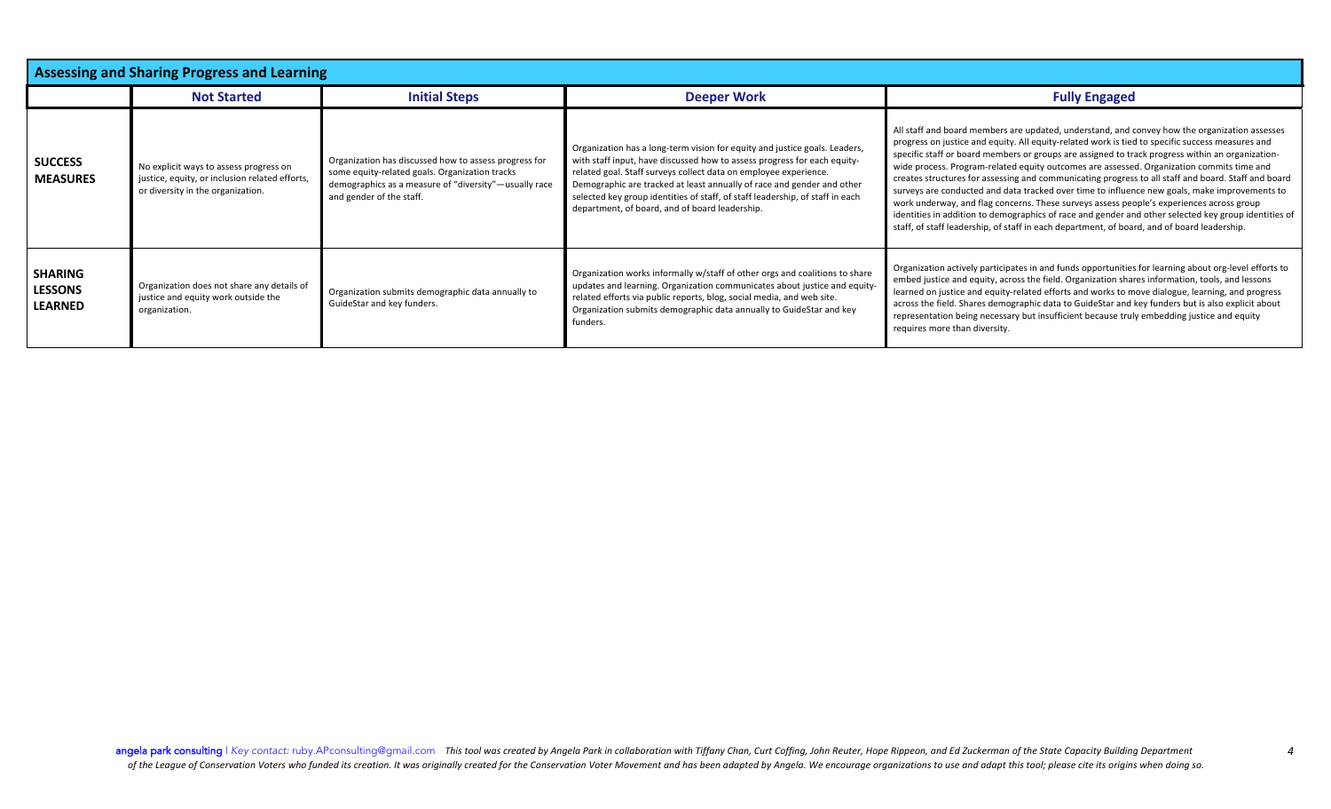| <b>Assessing and Sharing Progress and Learning</b> |                                                                                                                               |                                                                                                                                                                                              |                                                                                                                                                                                                                                                                                                                                                                                                                                         |                                                                                                                                                                                                                                                                                                                                                                                                                                                                                                                                                                                                                                                                                                                                                                                                                                                                                                               |
|----------------------------------------------------|-------------------------------------------------------------------------------------------------------------------------------|----------------------------------------------------------------------------------------------------------------------------------------------------------------------------------------------|-----------------------------------------------------------------------------------------------------------------------------------------------------------------------------------------------------------------------------------------------------------------------------------------------------------------------------------------------------------------------------------------------------------------------------------------|---------------------------------------------------------------------------------------------------------------------------------------------------------------------------------------------------------------------------------------------------------------------------------------------------------------------------------------------------------------------------------------------------------------------------------------------------------------------------------------------------------------------------------------------------------------------------------------------------------------------------------------------------------------------------------------------------------------------------------------------------------------------------------------------------------------------------------------------------------------------------------------------------------------|
|                                                    | <b>Not Started</b>                                                                                                            | <b>Initial Steps</b>                                                                                                                                                                         | <b>Deeper Work</b>                                                                                                                                                                                                                                                                                                                                                                                                                      | <b>Fully Engaged</b>                                                                                                                                                                                                                                                                                                                                                                                                                                                                                                                                                                                                                                                                                                                                                                                                                                                                                          |
| <b>SUCCESS</b><br><b>MEASURES</b>                  | No explicit ways to assess progress on<br>justice, equity, or inclusion related efforts,<br>or diversity in the organization. | Organization has discussed how to assess progress for<br>some equity-related goals. Organization tracks<br>demographics as a measure of "diversity"—usually race<br>and gender of the staff. | Organization has a long-term vision for equity and justice goals. Leaders,<br>with staff input, have discussed how to assess progress for each equity-<br>related goal. Staff surveys collect data on employee experience.<br>Demographic are tracked at least annually of race and gender and other<br>selected key group identities of staff, of staff leadership, of staff in each<br>department, of board, and of board leadership. | All staff and board members are updated, understand, and convey how the organization assesses<br>progress on justice and equity. All equity-related work is tied to specific success measures and<br>specific staff or board members or groups are assigned to track progress within an organization-<br>wide process. Program-related equity outcomes are assessed. Organization commits time and<br>creates structures for assessing and communicating progress to all staff and board. Staff and board<br>surveys are conducted and data tracked over time to influence new goals, make improvements to<br>work underway, and flag concerns. These surveys assess people's experiences across group<br>identities in addition to demographics of race and gender and other selected key group identities of<br>staff, of staff leadership, of staff in each department, of board, and of board leadership. |
| <b>SHARING</b><br><b>LESSONS</b><br><b>LEARNED</b> | Organization does not share any details of<br>justice and equity work outside the<br>organization.                            | Organization submits demographic data annually to<br>GuideStar and key funders.                                                                                                              | Organization works informally w/staff of other orgs and coalitions to share<br>updates and learning. Organization communicates about justice and equity-<br>related efforts via public reports, blog, social media, and web site.<br>Organization submits demographic data annually to GuideStar and key<br>funders.                                                                                                                    | Organization actively participates in and funds opportunities for learning about org-level efforts to<br>embed justice and equity, across the field. Organization shares information, tools, and lessons<br>learned on justice and equity-related efforts and works to move dialogue, learning, and progress<br>across the field. Shares demographic data to GuideStar and key funders but is also explicit about<br>representation being necessary but insufficient because truly embedding justice and equity<br>requires more than diversity.                                                                                                                                                                                                                                                                                                                                                              |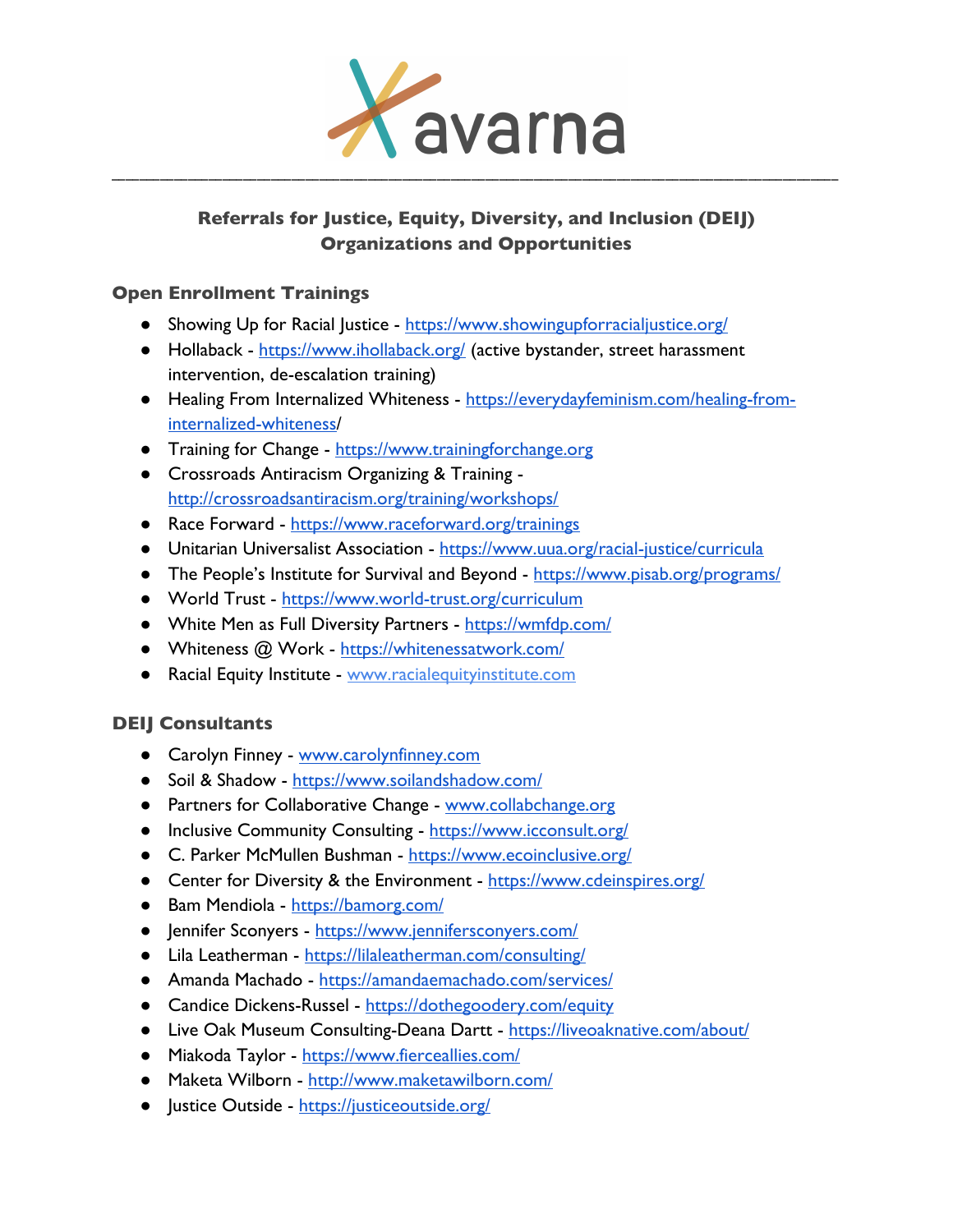

# **Referrals for Justice, Equity, Diversity, and Inclusion (DEIJ) Organizations and Opportunities**

## **Open Enrollment Trainings**

- Showing Up for Racial Justice https://www.showingupforracialjustice.org/
- Hollaback https://www.ihollaback.org/ (active bystander, street harassment intervention, de-escalation training)
- Healing From Internalized Whiteness https://everydayfeminism.com/healing-frominternalized-whiteness/
- Training for Change https://www.trainingforchange.org
- Crossroads Antiracism Organizing & Training http://crossroadsantiracism.org/training/workshops/
- Race Forward https://www.raceforward.org/trainings
- Unitarian Universalist Association https://www.uua.org/racial-justice/curricula
- The People's Institute for Survival and Beyond https://www.pisab.org/programs/
- World Trust https://www.world-trust.org/curriculum
- White Men as Full Diversity Partners https://wmfdp.com/
- Whiteness @ Work https://whitenessatwork.com/
- Racial Equity Institute www.racialequityinstitute.com

# **DEIJ Consultants**

- Carolyn Finney www.carolynfinney.com
- Soil & Shadow https://www.soilandshadow.com/
- Partners for Collaborative Change www.collabchange.org
- Inclusive Community Consulting https://www.icconsult.org/
- C. Parker McMullen Bushman https://www.ecoinclusive.org/
- Center for Diversity & the Environment https://www.cdeinspires.org/
- Bam Mendiola https://bamorg.com/
- Jennifer Sconyers https://www.jennifersconyers.com/
- Lila Leatherman https://lilaleatherman.com/consulting/
- Amanda Machado https://amandaemachado.com/services/
- Candice Dickens-Russel https://dothegoodery.com/equity
- Live Oak Museum Consulting-Deana Dartt https://liveoaknative.com/about/
- Miakoda Taylor https://www.fierceallies.com/
- Maketa Wilborn http://www.maketawilborn.com/
- **•** Justice Outside https://justiceoutside.org/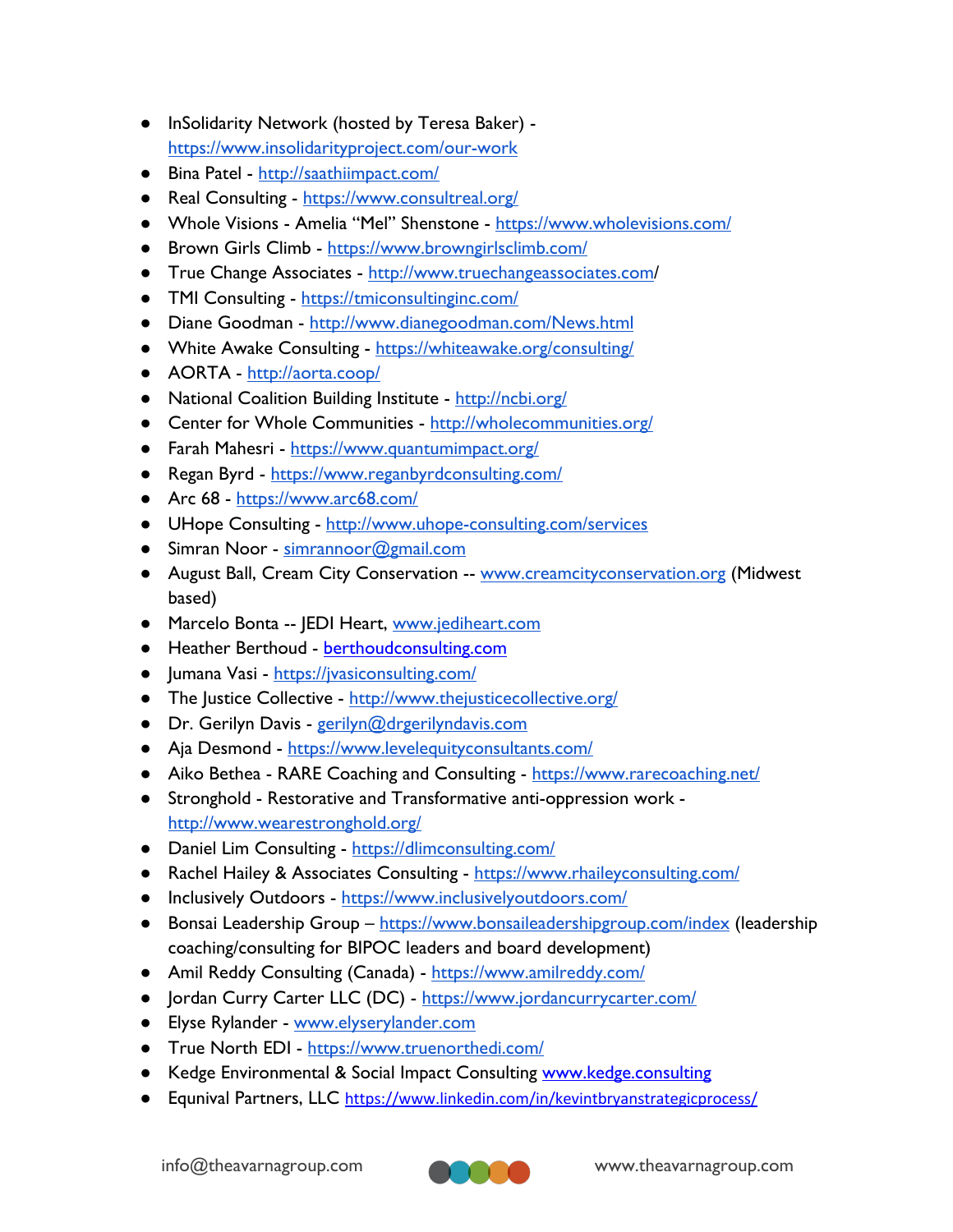- InSolidarity Network (hosted by Teresa Baker) https://www.insolidarityproject.com/our-work
- Bina Patel http://saathiimpact.com/
- Real Consulting https://www.consultreal.org/
- Whole Visions Amelia "Mel" Shenstone https://www.wholevisions.com/
- Brown Girls Climb https://www.browngirlsclimb.com/
- True Change Associates http://www.truechangeassociates.com/
- TMI Consulting https://tmiconsultinginc.com/
- Diane Goodman http://www.dianegoodman.com/News.html
- White Awake Consulting https://whiteawake.org/consulting/
- AORTA http://aorta.coop/
- National Coalition Building Institute http://ncbi.org/
- Center for Whole Communities http://wholecommunities.org/
- Farah Mahesri https://www.quantumimpact.org/
- Regan Byrd https://www.reganbyrdconsulting.com/
- Arc 68 https://www.arc68.com/
- UHope Consulting http://www.uhope-consulting.com/services
- Simran Noor simrannoor@gmail.com
- August Ball, Cream City Conservation -- www.creamcityconservation.org (Midwest based)
- Marcelo Bonta -- JEDI Heart, www.jediheart.com
- Heather Berthoud berthoudconsulting.com
- Jumana Vasi https://jvasiconsulting.com/
- The Justice Collective http://www.thejusticecollective.org/
- Dr. Gerilyn Davis gerilyn@drgerilyndavis.com
- Aja Desmond https://www.levelequityconsultants.com/
- Aiko Bethea RARE Coaching and Consulting https://www.rarecoaching.net/
- Stronghold Restorative and Transformative anti-oppression work http://www.wearestronghold.org/
- Daniel Lim Consulting https://dlimconsulting.com/
- Rachel Hailey & Associates Consulting https://www.rhaileyconsulting.com/
- Inclusively Outdoors https://www.inclusivelyoutdoors.com/
- Bonsai Leadership Group https://www.bonsaileadershipgroup.com/index (leadership coaching/consulting for BIPOC leaders and board development)
- Amil Reddy Consulting (Canada) https://www.amilreddy.com/
- Jordan Curry Carter LLC (DC) https://www.jordancurrycarter.com/
- Elyse Rylander www.elyserylander.com
- True North EDI https://www.truenorthedi.com/
- Kedge Environmental & Social Impact Consulting www.kedge.consulting
- Equnival Partners, LLC https://www.linkedin.com/in/kevintbryanstrategicprocess/

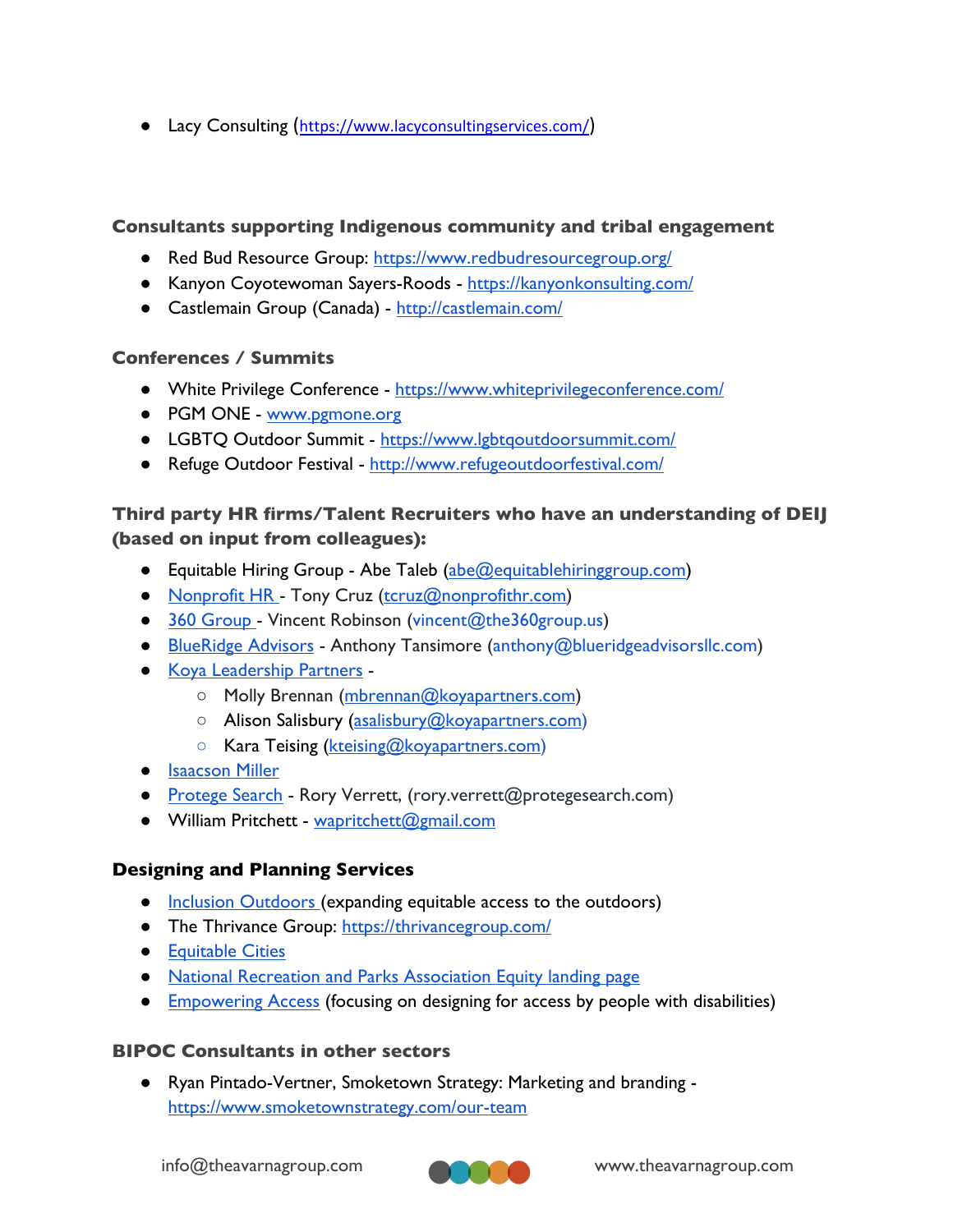● Lacy Consulting (https://www.lacyconsultingservices.com/)

### **Consultants supporting Indigenous community and tribal engagement**

- Red Bud Resource Group: https://www.redbudresourcegroup.org/
- Kanyon Coyotewoman Sayers-Roods https://kanyonkonsulting.com/
- Castlemain Group (Canada) http://castlemain.com/

#### **Conferences / Summits**

- White Privilege Conference https://www.whiteprivilegeconference.com/
- PGM ONE www.pgmone.org
- LGBTQ Outdoor Summit https://www.lgbtqoutdoorsummit.com/
- Refuge Outdoor Festival http://www.refugeoutdoorfestival.com/

## **Third party HR firms/Talent Recruiters who have an understanding of DEIJ (based on input from colleagues):**

- Equitable Hiring Group Abe Taleb (abe@equitablehiringgroup.com)
- Nonprofit HR Tony Cruz (tcruz@nonprofithr.com)
- 360 Group Vincent Robinson (vincent@the360group.us)
- BlueRidge Advisors Anthony Tansimore (anthony@blueridgeadvisorsllc.com)
- Koya Leadership Partners
	- Molly Brennan (mbrennan@koyapartners.com)
	- Alison Salisbury (asalisbury@koyapartners.com)
	- Kara Teising (kteising@koyapartners.com)
- **•** Isaacson Miller
- Protege Search Rory Verrett, (rory.verrett@protegesearch.com)
- William Pritchett wapritchett@gmail.com

### **Designing and Planning Services**

- Inclusion Outdoors (expanding equitable access to the outdoors)
- The Thrivance Group: https://thrivancegroup.com/
- Equitable Cities
- National Recreation and Parks Association Equity landing page
- Empowering Access (focusing on designing for access by people with disabilities)

#### **BIPOC Consultants in other sectors**

● Ryan Pintado-Vertner, Smoketown Strategy: Marketing and branding https://www.smoketownstrategy.com/our-team